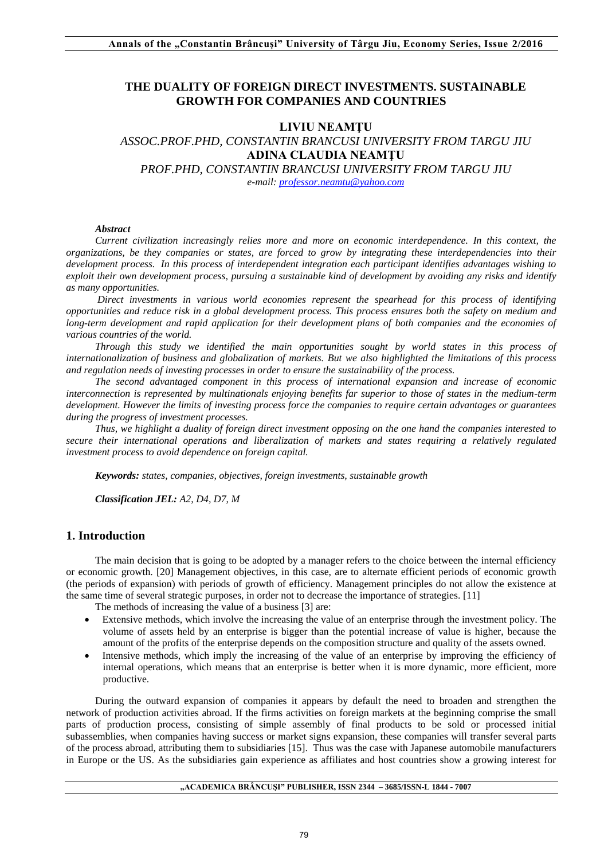# **THE DUALITY OF FOREIGN DIRECT INVESTMENTS. SUSTAINABLE GROWTH FOR COMPANIES AND COUNTRIES**

#### **LIVIU NEAMŢU**

# *ASSOC.PROF.PHD, CONSTANTIN BRANCUSI UNIVERSITY FROM TARGU JIU* **ADINA CLAUDIA NEAMŢU** *PROF.PHD, CONSTANTIN BRANCUSI UNIVERSITY FROM TARGU JIU*

*e-mail[: professor.neamtu@yahoo.com](mailto:professor.neamtu@yahoo.com)*

#### *Abstract*

*Current civilization increasingly relies more and more on economic interdependence. In this context, the organizations, be they companies or states, are forced to grow by integrating these interdependencies into their development process. In this process of interdependent integration each participant identifies advantages wishing to exploit their own development process, pursuing a sustainable kind of development by avoiding any risks and identify as many opportunities.*

*Direct investments in various world economies represent the spearhead for this process of identifying opportunities and reduce risk in a global development process. This process ensures both the safety on medium and long-term development and rapid application for their development plans of both companies and the economies of various countries of the world.* 

*Through this study we identified the main opportunities sought by world states in this process of internationalization of business and globalization of markets. But we also highlighted the limitations of this process and regulation needs of investing processes in order to ensure the sustainability of the process.*

*The second advantaged component in this process of international expansion and increase of economic interconnection is represented by multinationals enjoying benefits far superior to those of states in the medium-term development. However the limits of investing process force the companies to require certain advantages or guarantees during the progress of investment processes.*

*Thus, we highlight a duality of foreign direct investment opposing on the one hand the companies interested to secure their international operations and liberalization of markets and states requiring a relatively regulated investment process to avoid dependence on foreign capital.*

*Keywords: states, companies, objectives, foreign investments, sustainable growth* 

*Classification JEL: A2, D4, D7, M*

### **1. Introduction**

The main decision that is going to be adopted by a manager refers to the choice between the internal efficiency or economic growth. [20] Management objectives, in this case, are to alternate efficient periods of economic growth (the periods of expansion) with periods of growth of efficiency. Management principles do not allow the existence at the same time of several strategic purposes, in order not to decrease the importance of strategies. [11]

The methods of increasing the value of a business [3] are:

- Extensive methods, which involve the increasing the value of an enterprise through the investment policy. The volume of assets held by an enterprise is bigger than the potential increase of value is higher, because the amount of the profits of the enterprise depends on the composition structure and quality of the assets owned.
- Intensive methods, which imply the increasing of the value of an enterprise by improving the efficiency of internal operations, which means that an enterprise is better when it is more dynamic, more efficient, more productive.

During the outward expansion of companies it appears by default the need to broaden and strengthen the network of production activities abroad. If the firms activities on foreign markets at the beginning comprise the small parts of production process, consisting of simple assembly of final products to be sold or processed initial subassemblies, when companies having success or market signs expansion, these companies will transfer several parts of the process abroad, attributing them to subsidiaries [15]. Thus was the case with Japanese automobile manufacturers in Europe or the US. As the subsidiaries gain experience as affiliates and host countries show a growing interest for

#### **"ACADEMICA BRÂNCUŞI" PUBLISHER, ISSN 2344 – 3685/ISSN-L 1844 - 7007**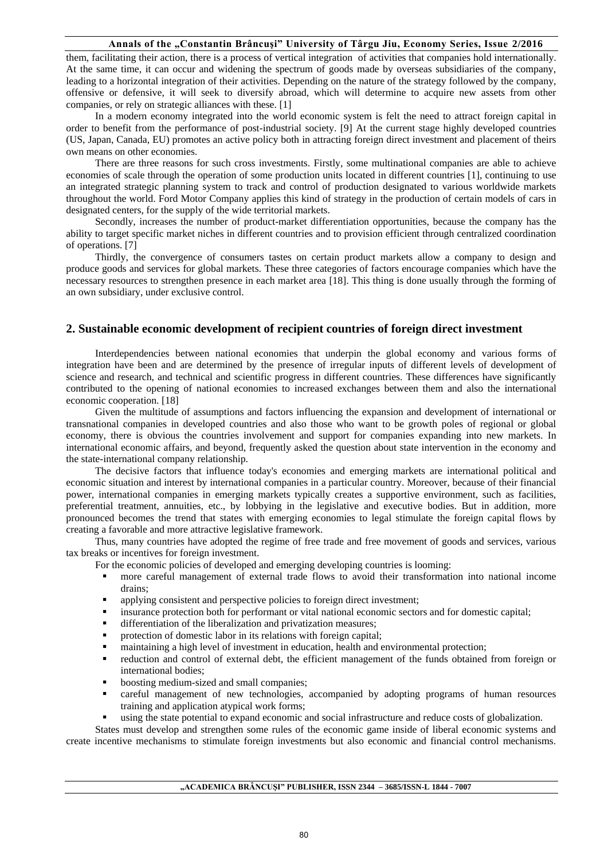them, facilitating their action, there is a process of vertical integration of activities that companies hold internationally. At the same time, it can occur and widening the spectrum of goods made by overseas subsidiaries of the company, leading to a horizontal integration of their activities. Depending on the nature of the strategy followed by the company, offensive or defensive, it will seek to diversify abroad, which will determine to acquire new assets from other companies, or rely on strategic alliances with these. [1]

In a modern economy integrated into the world economic system is felt the need to attract foreign capital in order to benefit from the performance of post-industrial society. [9] At the current stage highly developed countries (US, Japan, Canada, EU) promotes an active policy both in attracting foreign direct investment and placement of theirs own means on other economies.

There are three reasons for such cross investments. Firstly, some multinational companies are able to achieve economies of scale through the operation of some production units located in different countries [1], continuing to use an integrated strategic planning system to track and control of production designated to various worldwide markets throughout the world. Ford Motor Company applies this kind of strategy in the production of certain models of cars in designated centers, for the supply of the wide territorial markets.

Secondly, increases the number of product-market differentiation opportunities, because the company has the ability to target specific market niches in different countries and to provision efficient through centralized coordination of operations. [7]

Thirdly, the convergence of consumers tastes on certain product markets allow a company to design and produce goods and services for global markets. These three categories of factors encourage companies which have the necessary resources to strengthen presence in each market area [18]. This thing is done usually through the forming of an own subsidiary, under exclusive control.

# **2. Sustainable economic development of recipient countries of foreign direct investment**

Interdependencies between national economies that underpin the global economy and various forms of integration have been and are determined by the presence of irregular inputs of different levels of development of science and research, and technical and scientific progress in different countries. These differences have significantly contributed to the opening of national economies to increased exchanges between them and also the international economic cooperation. [18]

Given the multitude of assumptions and factors influencing the expansion and development of international or transnational companies in developed countries and also those who want to be growth poles of regional or global economy, there is obvious the countries involvement and support for companies expanding into new markets. In international economic affairs, and beyond, frequently asked the question about state intervention in the economy and the state-international company relationship.

The decisive factors that influence today's economies and emerging markets are international political and economic situation and interest by international companies in a particular country. Moreover, because of their financial power, international companies in emerging markets typically creates a supportive environment, such as facilities, preferential treatment, annuities, etc., by lobbying in the legislative and executive bodies. But in addition, more pronounced becomes the trend that states with emerging economies to legal stimulate the foreign capital flows by creating a favorable and more attractive legislative framework.

Thus, many countries have adopted the regime of free trade and free movement of goods and services, various tax breaks or incentives for foreign investment.

- For the economic policies of developed and emerging developing countries is looming:
	- more careful management of external trade flows to avoid their transformation into national income drains;
	- applying consistent and perspective policies to foreign direct investment;
	- insurance protection both for performant or vital national economic sectors and for domestic capital;
	- differentiation of the liberalization and privatization measures;
	- protection of domestic labor in its relations with foreign capital;
	- maintaining a high level of investment in education, health and environmental protection;
	- reduction and control of external debt, the efficient management of the funds obtained from foreign or international bodies;
	- boosting medium-sized and small companies;
	- careful management of new technologies, accompanied by adopting programs of human resources training and application atypical work forms;
	- using the state potential to expand economic and social infrastructure and reduce costs of globalization.

States must develop and strengthen some rules of the economic game inside of liberal economic systems and create incentive mechanisms to stimulate foreign investments but also economic and financial control mechanisms.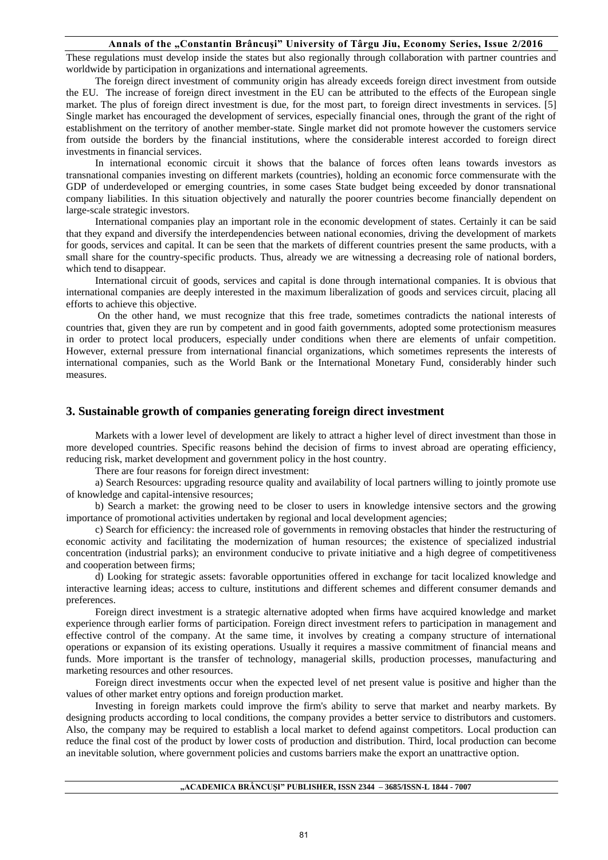These regulations must develop inside the states but also regionally through collaboration with partner countries and worldwide by participation in organizations and international agreements.

The foreign direct investment of community origin has already exceeds foreign direct investment from outside the EU. The increase of foreign direct investment in the EU can be attributed to the effects of the European single market. The plus of foreign direct investment is due, for the most part, to foreign direct investments in services. [5] Single market has encouraged the development of services, especially financial ones, through the grant of the right of establishment on the territory of another member-state. Single market did not promote however the customers service from outside the borders by the financial institutions, where the considerable interest accorded to foreign direct investments in financial services.

In international economic circuit it shows that the balance of forces often leans towards investors as transnational companies investing on different markets (countries), holding an economic force commensurate with the GDP of underdeveloped or emerging countries, in some cases State budget being exceeded by donor transnational company liabilities. In this situation objectively and naturally the poorer countries become financially dependent on large-scale strategic investors.

International companies play an important role in the economic development of states. Certainly it can be said that they expand and diversify the interdependencies between national economies, driving the development of markets for goods, services and capital. It can be seen that the markets of different countries present the same products, with a small share for the country-specific products. Thus, already we are witnessing a decreasing role of national borders, which tend to disappear.

International circuit of goods, services and capital is done through international companies. It is obvious that international companies are deeply interested in the maximum liberalization of goods and services circuit, placing all efforts to achieve this objective.

On the other hand, we must recognize that this free trade, sometimes contradicts the national interests of countries that, given they are run by competent and in good faith governments, adopted some protectionism measures in order to protect local producers, especially under conditions when there are elements of unfair competition. However, external pressure from international financial organizations, which sometimes represents the interests of international companies, such as the World Bank or the International Monetary Fund, considerably hinder such measures.

#### **3. Sustainable growth of companies generating foreign direct investment**

Markets with a lower level of development are likely to attract a higher level of direct investment than those in more developed countries. Specific reasons behind the decision of firms to invest abroad are operating efficiency, reducing risk, market development and government policy in the host country.

There are four reasons for foreign direct investment:

a) Search Resources: upgrading resource quality and availability of local partners willing to jointly promote use of knowledge and capital-intensive resources;

b) Search a market: the growing need to be closer to users in knowledge intensive sectors and the growing importance of promotional activities undertaken by regional and local development agencies;

c) Search for efficiency: the increased role of governments in removing obstacles that hinder the restructuring of economic activity and facilitating the modernization of human resources; the existence of specialized industrial concentration (industrial parks); an environment conducive to private initiative and a high degree of competitiveness and cooperation between firms;

d) Looking for strategic assets: favorable opportunities offered in exchange for tacit localized knowledge and interactive learning ideas; access to culture, institutions and different schemes and different consumer demands and preferences.

Foreign direct investment is a strategic alternative adopted when firms have acquired knowledge and market experience through earlier forms of participation. Foreign direct investment refers to participation in management and effective control of the company. At the same time, it involves by creating a company structure of international operations or expansion of its existing operations. Usually it requires a massive commitment of financial means and funds. More important is the transfer of technology, managerial skills, production processes, manufacturing and marketing resources and other resources.

Foreign direct investments occur when the expected level of net present value is positive and higher than the values of other market entry options and foreign production market.

Investing in foreign markets could improve the firm's ability to serve that market and nearby markets. By designing products according to local conditions, the company provides a better service to distributors and customers. Also, the company may be required to establish a local market to defend against competitors. Local production can reduce the final cost of the product by lower costs of production and distribution. Third, local production can become an inevitable solution, where government policies and customs barriers make the export an unattractive option.

#### **"ACADEMICA BRÂNCUŞI" PUBLISHER, ISSN 2344 – 3685/ISSN-L 1844 - 7007**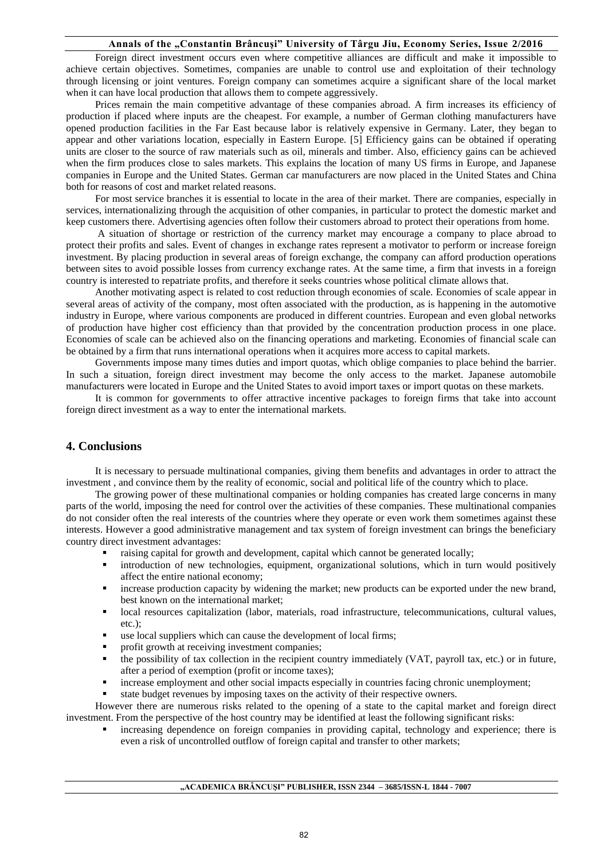Foreign direct investment occurs even where competitive alliances are difficult and make it impossible to achieve certain objectives. Sometimes, companies are unable to control use and exploitation of their technology through licensing or joint ventures. Foreign company can sometimes acquire a significant share of the local market when it can have local production that allows them to compete aggressively.

Prices remain the main competitive advantage of these companies abroad. A firm increases its efficiency of production if placed where inputs are the cheapest. For example, a number of German clothing manufacturers have opened production facilities in the Far East because labor is relatively expensive in Germany. Later, they began to appear and other variations location, especially in Eastern Europe. [5] Efficiency gains can be obtained if operating units are closer to the source of raw materials such as oil, minerals and timber. Also, efficiency gains can be achieved when the firm produces close to sales markets. This explains the location of many US firms in Europe, and Japanese companies in Europe and the United States. German car manufacturers are now placed in the United States and China both for reasons of cost and market related reasons.

For most service branches it is essential to locate in the area of their market. There are companies, especially in services, internationalizing through the acquisition of other companies, in particular to protect the domestic market and keep customers there. Advertising agencies often follow their customers abroad to protect their operations from home.

A situation of shortage or restriction of the currency market may encourage a company to place abroad to protect their profits and sales. Event of changes in exchange rates represent a motivator to perform or increase foreign investment. By placing production in several areas of foreign exchange, the company can afford production operations between sites to avoid possible losses from currency exchange rates. At the same time, a firm that invests in a foreign country is interested to repatriate profits, and therefore it seeks countries whose political climate allows that.

Another motivating aspect is related to cost reduction through economies of scale. Economies of scale appear in several areas of activity of the company, most often associated with the production, as is happening in the automotive industry in Europe, where various components are produced in different countries. European and even global networks of production have higher cost efficiency than that provided by the concentration production process in one place. Economies of scale can be achieved also on the financing operations and marketing. Economies of financial scale can be obtained by a firm that runs international operations when it acquires more access to capital markets.

Governments impose many times duties and import quotas, which oblige companies to place behind the barrier. In such a situation, foreign direct investment may become the only access to the market. Japanese automobile manufacturers were located in Europe and the United States to avoid import taxes or import quotas on these markets.

It is common for governments to offer attractive incentive packages to foreign firms that take into account foreign direct investment as a way to enter the international markets.

## **4. Conclusions**

It is necessary to persuade multinational companies, giving them benefits and advantages in order to attract the investment , and convince them by the reality of economic, social and political life of the country which to place.

The growing power of these multinational companies or holding companies has created large concerns in many parts of the world, imposing the need for control over the activities of these companies. These multinational companies do not consider often the real interests of the countries where they operate or even work them sometimes against these interests. However a good administrative management and tax system of foreign investment can brings the beneficiary country direct investment advantages:

- raising capital for growth and development, capital which cannot be generated locally;
- introduction of new technologies, equipment, organizational solutions, which in turn would positively affect the entire national economy;
- increase production capacity by widening the market; new products can be exported under the new brand, best known on the international market;
- local resources capitalization (labor, materials, road infrastructure, telecommunications, cultural values, etc.);
- use local suppliers which can cause the development of local firms;
- profit growth at receiving investment companies;
- the possibility of tax collection in the recipient country immediately (VAT, payroll tax, etc.) or in future, after a period of exemption (profit or income taxes);
- increase employment and other social impacts especially in countries facing chronic unemployment;
- state budget revenues by imposing taxes on the activity of their respective owners.

However there are numerous risks related to the opening of a state to the capital market and foreign direct investment. From the perspective of the host country may be identified at least the following significant risks:

 increasing dependence on foreign companies in providing capital, technology and experience; there is even a risk of uncontrolled outflow of foreign capital and transfer to other markets;

### **"ACADEMICA BRÂNCUŞI" PUBLISHER, ISSN 2344 – 3685/ISSN-L 1844 - 7007**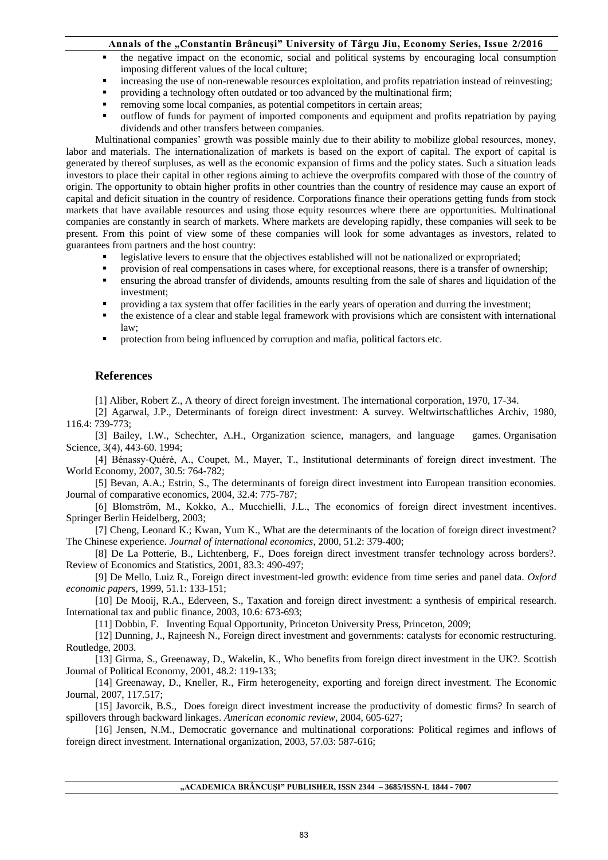- the negative impact on the economic, social and political systems by encouraging local consumption imposing different values of the local culture;
- increasing the use of non-renewable resources exploitation, and profits repatriation instead of reinvesting;
- providing a technology often outdated or too advanced by the multinational firm;
- removing some local companies, as potential competitors in certain areas;
- outflow of funds for payment of imported components and equipment and profits repatriation by paying dividends and other transfers between companies.

Multinational companies' growth was possible mainly due to their ability to mobilize global resources, money, labor and materials. The internationalization of markets is based on the export of capital. The export of capital is generated by thereof surpluses, as well as the economic expansion of firms and the policy states. Such a situation leads investors to place their capital in other regions aiming to achieve the overprofits compared with those of the country of origin. The opportunity to obtain higher profits in other countries than the country of residence may cause an export of capital and deficit situation in the country of residence. Corporations finance their operations getting funds from stock markets that have available resources and using those equity resources where there are opportunities. Multinational companies are constantly in search of markets. Where markets are developing rapidly, these companies will seek to be present. From this point of view some of these companies will look for some advantages as investors, related to guarantees from partners and the host country:

- legislative levers to ensure that the objectives established will not be nationalized or expropriated;
- provision of real compensations in cases where, for exceptional reasons, there is a transfer of ownership;
- ensuring the abroad transfer of dividends, amounts resulting from the sale of shares and liquidation of the investment;
- providing a tax system that offer facilities in the early years of operation and durring the investment;
- the existence of a clear and stable legal framework with provisions which are consistent with international law;
- protection from being influenced by corruption and mafia, political factors etc.

### **References**

[1] Aliber, Robert Z., A theory of direct foreign investment. The international corporation, 1970, 17-34.

[2] Agarwal, J.P., Determinants of foreign direct investment: A survey. Weltwirtschaftliches Archiv, 1980, 116.4: 739-773;

[3] Bailey, I.W., Schechter, A.H., Organization science, managers, and language games. Organisation Science, 3(4), 443-60. 1994;

[4] Bénassy‐Quéré, A., Coupet, M., Mayer, T., Institutional determinants of foreign direct investment. The World Economy, 2007, 30.5: 764-782;

[5] Bevan, A.A.; Estrin, S., The determinants of foreign direct investment into European transition economies. Journal of comparative economics, 2004, 32.4: 775-787;

[6] Blomström, M., Kokko, A., Mucchielli, J.L., The economics of foreign direct investment incentives. Springer Berlin Heidelberg, 2003;

[7] Cheng, Leonard K.; Kwan, Yum K., What are the determinants of the location of foreign direct investment? The Chinese experience. *Journal of international economics*, 2000, 51.2: 379-400;

[8] De La Potterie, B., Lichtenberg, F., Does foreign direct investment transfer technology across borders?. Review of Economics and Statistics, 2001, 83.3: 490-497;

[9] De Mello, Luiz R., Foreign direct investment-led growth: evidence from time series and panel data. *Oxford economic papers*, 1999, 51.1: 133-151;

[10] De Mooij, R.A., Ederveen, S., Taxation and foreign direct investment: a synthesis of empirical research. International tax and public finance, 2003, 10.6: 673-693;

[11] [Dobbin,](http://pubsonline.informs.org/action/doSearch?text1=&field1=Contrib) F. Inventing Equal Opportunity, Princeton University Press*,* Princeton, 2009;

[12] Dunning, J., Rajneesh N., Foreign direct investment and governments: catalysts for economic restructuring. Routledge, 2003.

[13] Girma, S., Greenaway, D., Wakelin, K., Who benefits from foreign direct investment in the UK?. Scottish Journal of Political Economy, 2001, 48.2: 119-133;

[14] Greenaway, D., Kneller, R., Firm heterogeneity, exporting and foreign direct investment. The Economic Journal, 2007, 117.517;

[15] Javorcik, B.S., Does foreign direct investment increase the productivity of domestic firms? In search of spillovers through backward linkages. *American economic review*, 2004, 605-627;

[16] Jensen, N.M., Democratic governance and multinational corporations: Political regimes and inflows of foreign direct investment. International organization, 2003, 57.03: 587-616;